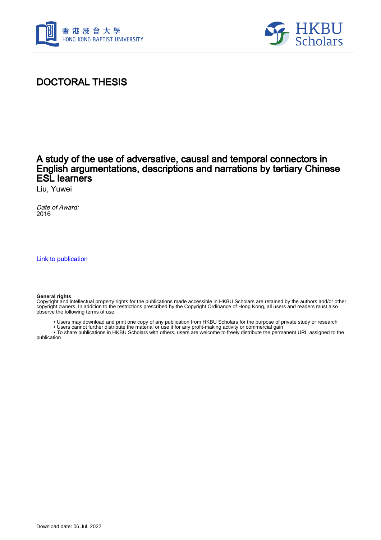



# DOCTORAL THESIS

## A study of the use of adversative, causal and temporal connectors in English argumentations, descriptions and narrations by tertiary Chinese ESL learners

Liu, Yuwei

Date of Award: 2016

[Link to publication](https://scholars.hkbu.edu.hk/en/studentTheses/2bbccf97-0a4b-4be5-914e-122b5823976f)

#### **General rights**

Copyright and intellectual property rights for the publications made accessible in HKBU Scholars are retained by the authors and/or other copyright owners. In addition to the restrictions prescribed by the Copyright Ordinance of Hong Kong, all users and readers must also observe the following terms of use:

• Users may download and print one copy of any publication from HKBU Scholars for the purpose of private study or research

• Users cannot further distribute the material or use it for any profit-making activity or commercial gain

 • To share publications in HKBU Scholars with others, users are welcome to freely distribute the permanent URL assigned to the publication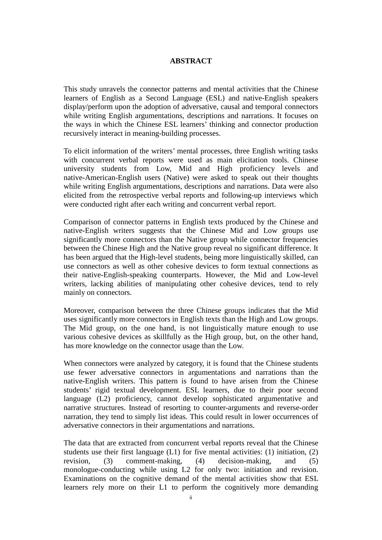### **ABSTRACT**

<span id="page-1-0"></span>This study unravels the connector patterns and mental activities that the Chinese learners of English as a Second Language (ESL) and native-English speakers display/perform upon the adoption of adversative, causal and temporal connectors while writing English argumentations, descriptions and narrations. It focuses on the ways in which the Chinese ESL learners' thinking and connector production recursively interact in meaning-building processes.

To elicit information of the writers' mental processes, three English writing tasks with concurrent verbal reports were used as main elicitation tools. Chinese university students from Low, Mid and High proficiency levels and native-American-English users (Native) were asked to speak out their thoughts while writing English argumentations, descriptions and narrations. Data were also elicited from the retrospective verbal reports and following-up interviews which were conducted right after each writing and concurrent verbal report.

Comparison of connector patterns in English texts produced by the Chinese and native-English writers suggests that the Chinese Mid and Low groups use significantly more connectors than the Native group while connector frequencies between the Chinese High and the Native group reveal no significant difference. It has been argued that the High-level students, being more linguistically skilled, can use connectors as well as other cohesive devices to form textual connections as their native-English-speaking counterparts. However, the Mid and Low-level writers, lacking abilities of manipulating other cohesive devices, tend to rely mainly on connectors.

Moreover, comparison between the three Chinese groups indicates that the Mid uses significantly more connectors in English texts than the High and Low groups. The Mid group, on the one hand, is not linguistically mature enough to use various cohesive devices as skillfully as the High group, but, on the other hand, has more knowledge on the connector usage than the Low.

When connectors were analyzed by category, it is found that the Chinese students use fewer adversative connectors in argumentations and narrations than the native-English writers. This pattern is found to have arisen from the Chinese students' rigid textual development. ESL learners, due to their poor second language (L2) proficiency, cannot develop sophisticated argumentative and narrative structures. Instead of resorting to counter-arguments and reverse-order narration, they tend to simply list ideas. This could result in lower occurrences of adversative connectors in their argumentations and narrations.

The data that are extracted from concurrent verbal reports reveal that the Chinese students use their first language  $(L1)$  for five mental activities: (1) initiation, (2) revision, (3) comment-making, (4) decision-making, and (5) monologue-conducting while using L2 for only two: initiation and revision. Examinations on the cognitive demand of the mental activities show that ESL learners rely more on their L1 to perform the cognitively more demanding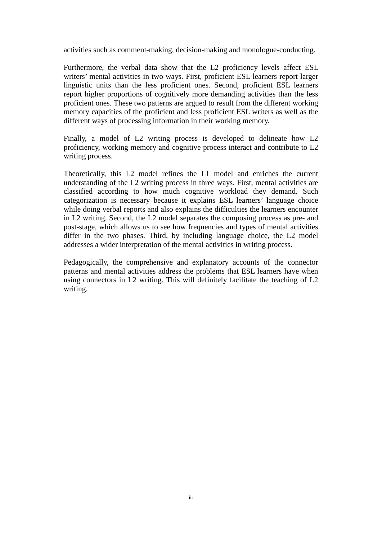activities such as comment-making, decision-making and monologue-conducting.

Furthermore, the verbal data show that the L2 proficiency levels affect ESL writers' mental activities in two ways. First, proficient ESL learners report larger linguistic units than the less proficient ones. Second, proficient ESL learners report higher proportions of cognitively more demanding activities than the less proficient ones. These two patterns are argued to result from the different working memory capacities of the proficient and less proficient ESL writers as well as the different ways of processing information in their working memory.

Finally, a model of L2 writing process is developed to delineate how L2 proficiency, working memory and cognitive process interact and contribute to L2 writing process.

Theoretically, this L2 model refines the L1 model and enriches the current understanding of the L2 writing process in three ways. First, mental activities are classified according to how much cognitive workload they demand. Such categorization is necessary because it explains ESL learners' language choice while doing verbal reports and also explains the difficulties the learners encounter in L2 writing. Second, the L2 model separates the composing process as pre- and post-stage, which allows us to see how frequencies and types of mental activities differ in the two phases. Third, by including language choice, the L2 model addresses a wider interpretation of the mental activities in writing process.

Pedagogically, the comprehensive and explanatory accounts of the connector patterns and mental activities address the problems that ESL learners have when using connectors in L2 writing. This will definitely facilitate the teaching of L2 writing.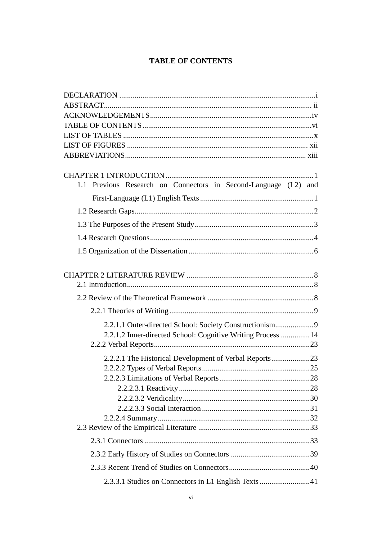### **TABLE OF CONTENTS**

<span id="page-3-0"></span>

| 1.1 Previous Research on Connectors in Second-Language (L2) and |  |
|-----------------------------------------------------------------|--|
|                                                                 |  |
|                                                                 |  |
|                                                                 |  |
|                                                                 |  |
|                                                                 |  |
|                                                                 |  |
|                                                                 |  |
|                                                                 |  |
|                                                                 |  |
|                                                                 |  |
| 2.2.1.1 Outer-directed School: Society Constructionism9         |  |
| 2.2.1.2 Inner-directed School: Cognitive Writing Process  14    |  |
|                                                                 |  |
| 2.2.2.1 The Historical Development of Verbal Reports23          |  |
|                                                                 |  |
|                                                                 |  |
|                                                                 |  |
|                                                                 |  |
|                                                                 |  |
|                                                                 |  |
|                                                                 |  |
|                                                                 |  |
|                                                                 |  |
|                                                                 |  |
| 2.3.3.1 Studies on Connectors in L1 English Texts 41            |  |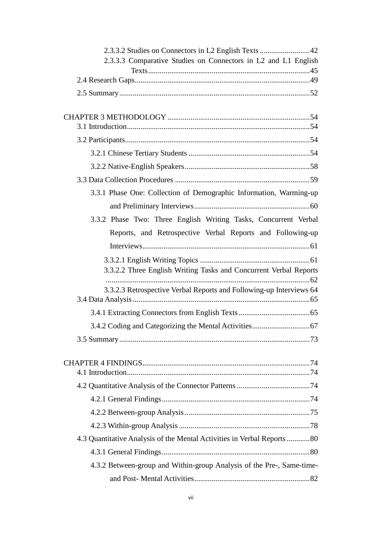| 2.3.3.3 Comparative Studies on Connectors in L2 and L1 English          |  |  |
|-------------------------------------------------------------------------|--|--|
|                                                                         |  |  |
|                                                                         |  |  |
|                                                                         |  |  |
|                                                                         |  |  |
|                                                                         |  |  |
|                                                                         |  |  |
|                                                                         |  |  |
|                                                                         |  |  |
|                                                                         |  |  |
|                                                                         |  |  |
| 3.3.1 Phase One: Collection of Demographic Information, Warming-up      |  |  |
|                                                                         |  |  |
| 3.3.2 Phase Two: Three English Writing Tasks, Concurrent Verbal         |  |  |
| Reports, and Retrospective Verbal Reports and Following-up              |  |  |
|                                                                         |  |  |
|                                                                         |  |  |
| 3.3.2.2 Three English Writing Tasks and Concurrent Verbal Reports       |  |  |
|                                                                         |  |  |
| 3.3.2.3 Retrospective Verbal Reports and Following-up Interviews 64     |  |  |
|                                                                         |  |  |
|                                                                         |  |  |
|                                                                         |  |  |
|                                                                         |  |  |
|                                                                         |  |  |
|                                                                         |  |  |
|                                                                         |  |  |
|                                                                         |  |  |
|                                                                         |  |  |
|                                                                         |  |  |
|                                                                         |  |  |
| 4.3 Quantitative Analysis of the Mental Activities in Verbal Reports 80 |  |  |
|                                                                         |  |  |
| 4.3.2 Between-group and Within-group Analysis of the Pre-, Same-time-   |  |  |
|                                                                         |  |  |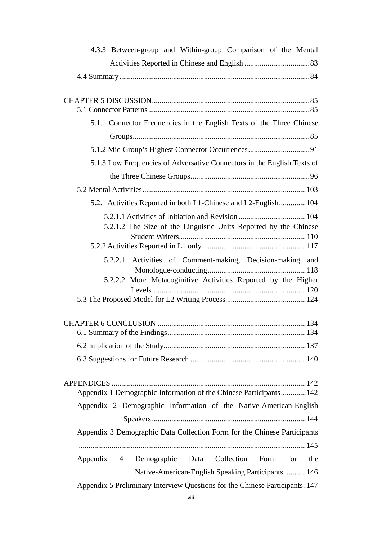| 4.3.3 Between-group and Within-group Comparison of the Mental                   |
|---------------------------------------------------------------------------------|
|                                                                                 |
|                                                                                 |
|                                                                                 |
|                                                                                 |
|                                                                                 |
| 5.1.1 Connector Frequencies in the English Texts of the Three Chinese           |
|                                                                                 |
|                                                                                 |
| 5.1.3 Low Frequencies of Adversative Connectors in the English Texts of         |
|                                                                                 |
|                                                                                 |
| 5.2.1 Activities Reported in both L1-Chinese and L2-English104                  |
|                                                                                 |
| 5.2.1.2 The Size of the Linguistic Units Reported by the Chinese                |
|                                                                                 |
|                                                                                 |
| 5.2.2.1 Activities of Comment-making, Decision-making and                       |
| 5.2.2.2 More Metacoginitive Activities Reported by the Higher                   |
|                                                                                 |
|                                                                                 |
|                                                                                 |
|                                                                                 |
|                                                                                 |
|                                                                                 |
|                                                                                 |
|                                                                                 |
| Appendix 1 Demographic Information of the Chinese Participants142               |
| Appendix 2 Demographic Information of the Native-American-English               |
|                                                                                 |
| Appendix 3 Demographic Data Collection Form for the Chinese Participants        |
|                                                                                 |
|                                                                                 |
| Demographic Data Collection<br>Form<br>for<br>the<br>Appendix<br>$\overline{4}$ |
| Native-American-English Speaking Participants 146                               |
| Appendix 5 Preliminary Interview Questions for the Chinese Participants. 147    |